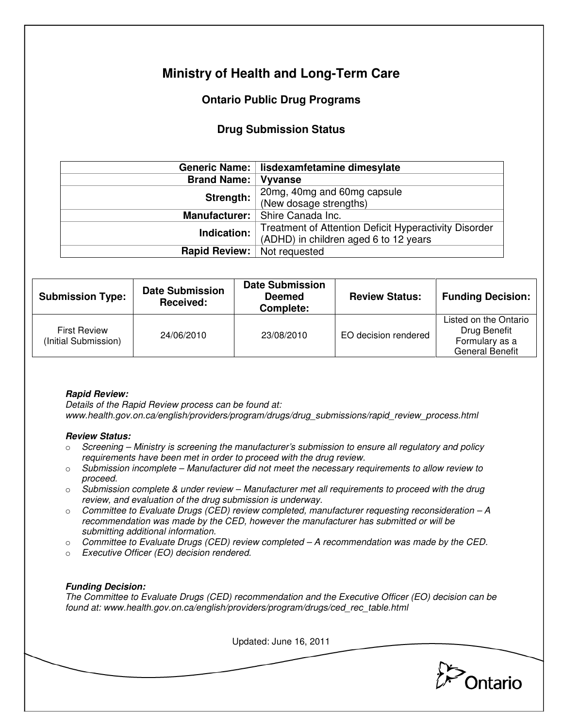# **Ministry of Health and Long-Term Care**

## **Ontario Public Drug Programs**

### **Drug Submission Status**

|                      | Generic Name:   lisdexamfetamine dimesylate           |  |  |
|----------------------|-------------------------------------------------------|--|--|
| <b>Brand Name:</b>   | <b>Vyvanse</b>                                        |  |  |
| Strength:            | 20mg, 40mg and 60mg capsule                           |  |  |
|                      | (New dosage strengths)                                |  |  |
| <b>Manufacturer:</b> | Shire Canada Inc.                                     |  |  |
| Indication:          | Treatment of Attention Deficit Hyperactivity Disorder |  |  |
|                      | (ADHD) in children aged 6 to 12 years                 |  |  |
| <b>Rapid Review:</b> | Not requested                                         |  |  |

| <b>Submission Type:</b>                     | <b>Date Submission</b><br><b>Received:</b> | <b>Date Submission</b><br><b>Deemed</b><br>Complete: | <b>Review Status:</b> | <b>Funding Decision:</b>                                                          |
|---------------------------------------------|--------------------------------------------|------------------------------------------------------|-----------------------|-----------------------------------------------------------------------------------|
| <b>First Review</b><br>(Initial Submission) | 24/06/2010                                 | 23/08/2010                                           | EO decision rendered  | Listed on the Ontario<br>Drug Benefit<br>Formulary as a<br><b>General Benefit</b> |

#### **Rapid Review:**

Details of the Rapid Review process can be found at: www.health.gov.on.ca/english/providers/program/drugs/drug\_submissions/rapid\_review\_process.html

#### **Review Status:**

- $\circ$  Screening Ministry is screening the manufacturer's submission to ensure all regulatory and policy requirements have been met in order to proceed with the drug review.
- $\circ$  Submission incomplete Manufacturer did not meet the necessary requirements to allow review to proceed.
- $\circ$  Submission complete & under review Manufacturer met all requirements to proceed with the drug review, and evaluation of the drug submission is underway.
- $\circ$  Committee to Evaluate Drugs (CED) review completed, manufacturer requesting reconsideration A recommendation was made by the CED, however the manufacturer has submitted or will be submitting additional information.
- $\circ$  Committee to Evaluate Drugs (CED) review completed  $-A$  recommendation was made by the CED.
- o Executive Officer (EO) decision rendered.

#### **Funding Decision:**

The Committee to Evaluate Drugs (CED) recommendation and the Executive Officer (EO) decision can be found at: www.health.gov.on.ca/english/providers/program/drugs/ced\_rec\_table.html

Updated: June 16, 2011

Ontario